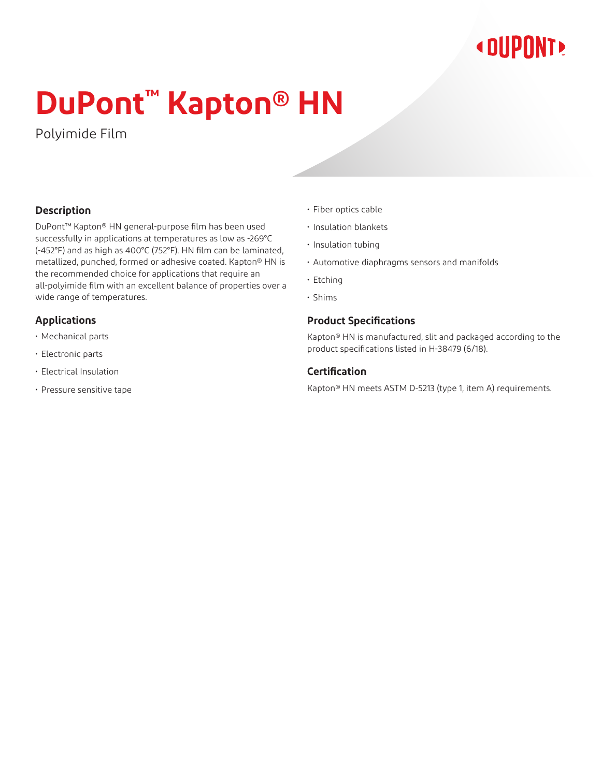# **« DUPONT!**

# **DuPont™ Kapton® HN**

Polyimide Film

# **Description**

DuPont™ Kapton® HN general-purpose film has been used successfully in applications at temperatures as low as -269°C (-452°F) and as high as 400°C (752°F). HN film can be laminated, metallized, punched, formed or adhesive coated. Kapton® HN is the recommended choice for applications that require an all-polyimide film with an excellent balance of properties over a wide range of temperatures.

# **Applications**

- Mechanical parts
- Electronic parts
- Electrical Insulation
- Pressure sensitive tape
- Fiber optics cable
- Insulation blankets
- Insulation tubing
- Automotive diaphragms sensors and manifolds
- Etching
- Shims

## **Product Specifications**

Kapton® HN is manufactured, slit and packaged according to the product specifications listed in H-38479 (6/18).

## **Certification**

Kapton® HN meets ASTM D-5213 (type 1, item A) requirements.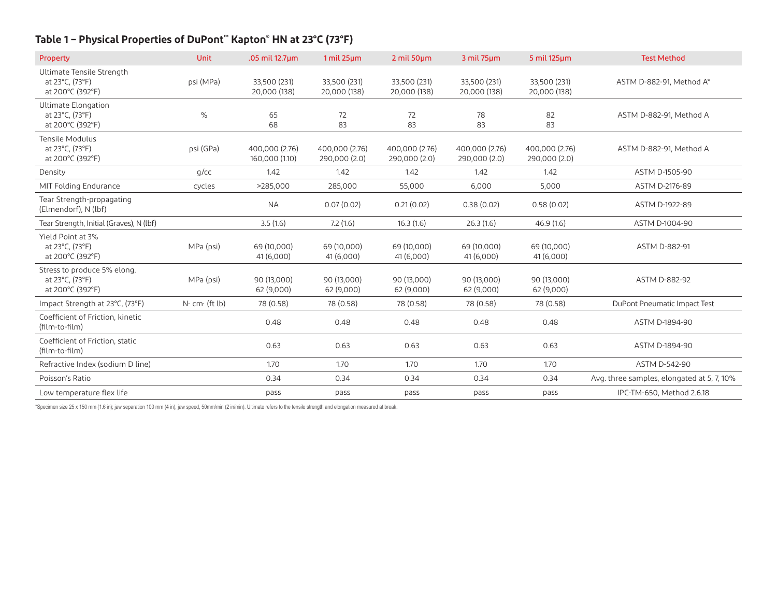# **Table 1 – Physical Properties of DuPont™ Kapton® HN at 23°C (73°F)**

| Property                                                           | <b>Unit</b>    | .05 mil 12.7um                   | $1$ mil $25 \mu m$              | $2$ mil 50 $\mu$ m              | 3 mil 75um                      | $5$ mil 125 $\mu$ m             | <b>Test Method</b>                         |
|--------------------------------------------------------------------|----------------|----------------------------------|---------------------------------|---------------------------------|---------------------------------|---------------------------------|--------------------------------------------|
| Ultimate Tensile Strength<br>at 23°C, (73°F)<br>at 200°C (392°F)   | psi (MPa)      | 33,500 (231)<br>20,000 (138)     | 33,500 (231)<br>20,000 (138)    | 33,500 (231)<br>20,000 (138)    | 33,500 (231)<br>20,000 (138)    | 33,500 (231)<br>20,000 (138)    | ASTM D-882-91, Method A*                   |
| Ultimate Elongation<br>at 23°C, (73°F)<br>at 200°C (392°F)         | $\%$           | 65<br>68                         | 72<br>83                        | 72<br>83                        | 78<br>83                        | 82<br>83                        | ASTM D-882-91. Method A                    |
| Tensile Modulus<br>at 23°C, (73°F)<br>at 200°C (392°F)             | psi (GPa)      | 400,000 (2.76)<br>160,000 (1.10) | 400,000 (2.76)<br>290,000 (2.0) | 400,000 (2.76)<br>290,000 (2.0) | 400,000 (2.76)<br>290,000 (2.0) | 400,000 (2.76)<br>290,000 (2.0) | ASTM D-882-91, Method A                    |
| Density                                                            | $q$ /cc        | 1.42                             | 1.42                            | 1.42                            | 1.42                            | 1.42                            | ASTM D-1505-90                             |
| MIT Folding Endurance                                              | cycles         | >285,000                         | 285,000                         | 55,000                          | 6,000                           | 5,000                           | ASTM D-2176-89                             |
| Tear Strength-propagating<br>(Elmendorf), N (lbf)                  |                | <b>NA</b>                        | 0.07(0.02)                      | 0.21(0.02)                      | 0.38(0.02)                      | 0.58(0.02)                      | ASTM D-1922-89                             |
| Tear Strength, Initial (Graves), N (lbf)                           |                | 3.5(1.6)                         | 7.2(1.6)                        | 16.3(1.6)                       | 26.3(1.6)                       | 46.9(1.6)                       | ASTM D-1004-90                             |
| Yield Point at 3%<br>at 23°C, (73°F)<br>at 200°C (392°F)           | MPa (psi)      | 69 (10,000)<br>41 (6,000)        | 69 (10,000)<br>41 (6,000)       | 69 (10,000)<br>41 (6,000)       | 69 (10,000)<br>41 (6,000)       | 69 (10,000)<br>41 (6,000)       | ASTM D-882-91                              |
| Stress to produce 5% elong.<br>at 23°C, (73°F)<br>at 200°C (392°F) | MPa (psi)      | 90 (13,000)<br>62 (9,000)        | 90 (13,000)<br>62 (9,000)       | 90 (13,000)<br>62 (9,000)       | 90 (13,000)<br>62 (9,000)       | 90 (13,000)<br>62 (9,000)       | ASTM D-882-92                              |
| Impact Strength at 23°C, (73°F)                                    | $N$ cm (ft lb) | 78 (0.58)                        | 78 (0.58)                       | 78 (0.58)                       | 78 (0.58)                       | 78 (0.58)                       | DuPont Pneumatic Impact Test               |
| Coefficient of Friction, kinetic<br>(film-to-film)                 |                | 0.48                             | 0.48                            | 0.48                            | 0.48                            | 0.48                            | ASTM D-1894-90                             |
| Coefficient of Friction, static<br>(film-to-film)                  |                | 0.63                             | 0.63                            | 0.63                            | 0.63                            | 0.63                            | ASTM D-1894-90                             |
| Refractive Index (sodium D line)                                   |                | 1.70                             | 1.70                            | 1.70                            | 1.70                            | 1.70                            | ASTM D-542-90                              |
| Poisson's Ratio                                                    |                | 0.34                             | 0.34                            | 0.34                            | 0.34                            | 0.34                            | Avg. three samples, elongated at 5, 7, 10% |
| Low temperature flex life                                          |                | pass                             | pass                            | pass                            | pass                            | pass                            | IPC-TM-650, Method 2.6.18                  |

\*Specimen size 25 x 150 mm (1.6 in); jaw separation 100 mm (4 in), jaw speed, 50mm/min (2 in/min). Ultimate refers to the tensile strength and elongation measured at break.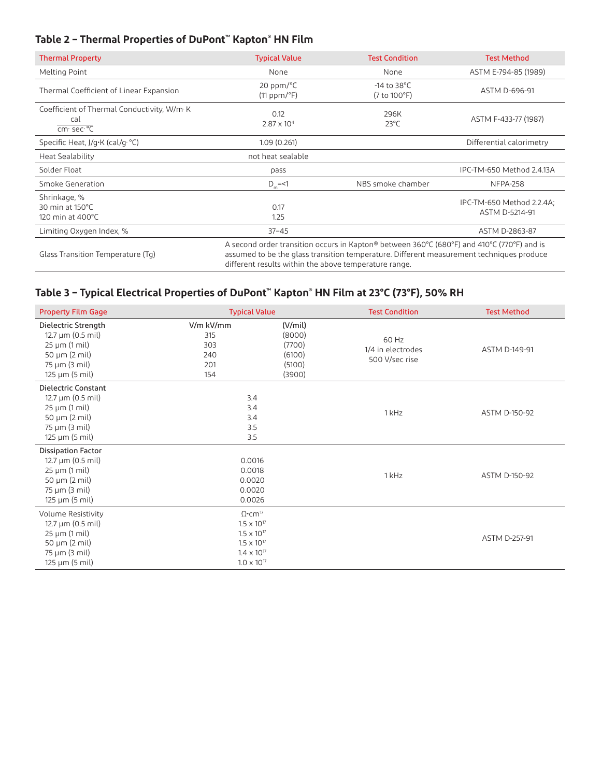# **Table 2 – Thermal Properties of DuPont™ Kapton® HN Film**

| <b>Thermal Property</b>                                                    | <b>Typical Value</b>                                                                                                                                                                                                                            | <b>Test Condition</b>                    | <b>Test Method</b>                          |
|----------------------------------------------------------------------------|-------------------------------------------------------------------------------------------------------------------------------------------------------------------------------------------------------------------------------------------------|------------------------------------------|---------------------------------------------|
| Melting Point                                                              | None                                                                                                                                                                                                                                            | None                                     | ASTM E-794-85 (1989)                        |
| Thermal Coefficient of Linear Expansion                                    | $20$ ppm/ $\degree$ C<br>$(11 ppm)^{\circ}F$                                                                                                                                                                                                    | $-14$ to 38 $^{\circ}$ C<br>(7 to 100°F) | ASTM D-696-91                               |
| Coefficient of Thermal Conductivity, W/m·K<br>cal<br>cm $sec \overline{C}$ | 0.12<br>$2.87 \times 10^{4}$                                                                                                                                                                                                                    | 296K<br>$23^{\circ}$ C                   | ASTM F-433-77 (1987)                        |
| Specific Heat, J/g·K (cal/g· °C)                                           | 1.09(0.261)                                                                                                                                                                                                                                     |                                          | Differential calorimetry                    |
| <b>Heat Sealability</b>                                                    | not heat sealable                                                                                                                                                                                                                               |                                          |                                             |
| Solder Float                                                               | pass                                                                                                                                                                                                                                            |                                          | IPC-TM-650 Method 2.4.13A                   |
| Smoke Generation                                                           | $D_m = 1$                                                                                                                                                                                                                                       | NBS smoke chamber                        | <b>NFPA-258</b>                             |
| Shrinkage, %<br>30 min at 150°C<br>120 min at $400^{\circ}$ C              | 0.17<br>1.25                                                                                                                                                                                                                                    |                                          | IPC-TM-650 Method 2.2.4A;<br>ASTM D-5214-91 |
| Limiting Oxygen Index, %                                                   | $37 - 45$                                                                                                                                                                                                                                       |                                          | ASTM D-2863-87                              |
| Glass Transition Temperature (Tq)                                          | A second order transition occurs in Kapton® between 360°C (680°F) and 410°C (770°F) and is<br>assumed to be the glass transition temperature. Different measurement techniques produce<br>different results within the above temperature range. |                                          |                                             |

# **Table 3 – Typical Electrical Properties of DuPont™ Kapton® HN Film at 23°C (73°F), 50% RH**

| <b>Property Film Gage</b>                                                                                                                                              | <b>Typical Value</b>                                                                                                                               |                                                           | <b>Test Condition</b>                        | <b>Test Method</b>   |
|------------------------------------------------------------------------------------------------------------------------------------------------------------------------|----------------------------------------------------------------------------------------------------------------------------------------------------|-----------------------------------------------------------|----------------------------------------------|----------------------|
| Dielectric Strength<br>$12.7 \,\mu m$ (0.5 mil)<br>$25 \mu m (1 \text{ mil})$<br>$50 \mu m (2 \text{ mil})$<br>$75 \mu m$ (3 mil)<br>$125 \mu m (5 \text{ mil})$       | V/m kV/mm<br>315<br>303<br>240<br>201<br>154                                                                                                       | (V/min)<br>(8000)<br>(7700)<br>(6100)<br>(5100)<br>(3900) | 60 Hz<br>1/4 in electrodes<br>500 V/sec rise | ASTM D-149-91        |
| Dielectric Constant<br>12.7 µm (0.5 mil)<br>$25 \mu m (1 \text{ mil})$<br>50 $\mu$ m (2 mil)<br>$75 \mu m$ (3 mil)<br>$125 \mu m (5 \text{ mil})$                      | 3.4<br>3.4<br>3.4<br>3.5<br>3.5                                                                                                                    |                                                           | 1 kHz                                        | ASTM D-150-92        |
| <b>Dissipation Factor</b><br>$12.7 \,\mu m$ (0.5 mil)<br>$25 \mu m (1 \text{ mil})$<br>50 $\mu$ m (2 mil)<br>$75 \mu m (3 \text{ mil})$<br>$125 \mu m (5 \text{ mil})$ | 0.0016<br>0.0018<br>0.0020<br>0.0020<br>0.0026                                                                                                     |                                                           | 1 kHz                                        | ASTM D-150-92        |
| Volume Resistivity<br>$12.7 \,\mu m$ (0.5 mil)<br>$25 \mu m (1 \text{ mil})$<br>50 $\mu$ m (2 mil)<br>75 µm (3 mil)<br>$125 \mu m (5 \text{ mil})$                     | $\Omega$ .cm <sup>17</sup><br>$1.5 \times 10^{17}$<br>$1.5 \times 10^{17}$<br>$1.5 \times 10^{17}$<br>$1.4 \times 10^{17}$<br>$1.0 \times 10^{17}$ |                                                           |                                              | <b>ASTM D-257-91</b> |